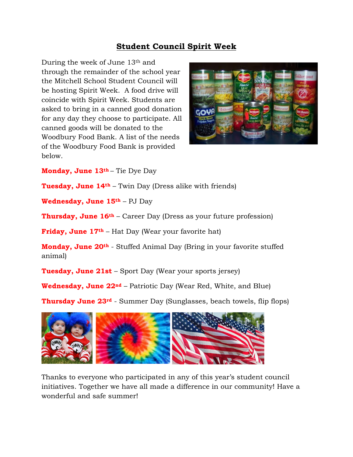## **Student Council Spirit Week**

During the week of June 13th and through the remainder of the school year the Mitchell School Student Council will be hosting Spirit Week. A food drive will coincide with Spirit Week. Students are asked to bring in a canned good donation for any day they choose to participate. All canned goods will be donated to the Woodbury Food Bank. A list of the needs of the Woodbury Food Bank is provided below.



**Monday, June 13th** – Tie Dye Day

**Tuesday, June 14th** – Twin Day (Dress alike with friends)

**Wednesday, June 15th** – PJ Day

**Thursday, June 16th** – Career Day (Dress as your future profession)

**Friday, June 17th** – Hat Day (Wear your favorite hat)

**Monday, June 20th** - Stuffed Animal Day (Bring in your favorite stuffed animal)

**Tuesday, June 21st** – Sport Day (Wear your sports jersey)

**Wednesday, June 22nd** – Patriotic Day (Wear Red, White, and Blue)

**Thursday June 23rd** - Summer Day (Sunglasses, beach towels, flip flops)



Thanks to everyone who participated in any of this year's student council initiatives. Together we have all made a difference in our community! Have a wonderful and safe summer!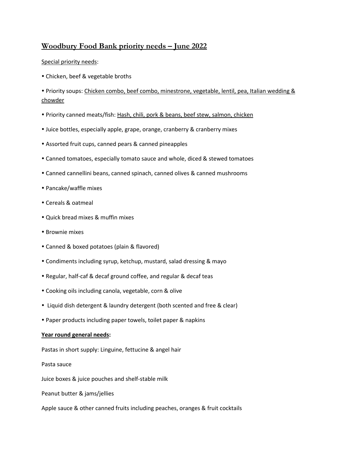## **Woodbury Food Bank priority needs – June 2022**

## Special priority needs:

Chicken, beef & vegetable broths

 Priority soups: Chicken combo, beef combo, minestrone, vegetable, lentil, pea, Italian wedding & chowder

- Priority canned meats/fish: Hash, chili, pork & beans, beef stew, salmon, chicken
- Juice bottles, especially apple, grape, orange, cranberry & cranberry mixes
- Assorted fruit cups, canned pears & canned pineapples
- Canned tomatoes, especially tomato sauce and whole, diced & stewed tomatoes
- Canned cannellini beans, canned spinach, canned olives & canned mushrooms
- Pancake/waffle mixes
- Cereals & oatmeal
- Quick bread mixes & muffin mixes
- Brownie mixes
- Canned & boxed potatoes (plain & flavored)
- Condiments including syrup, ketchup, mustard, salad dressing & mayo
- Regular, half-caf & decaf ground coffee, and regular & decaf teas
- Cooking oils including canola, vegetable, corn & olive
- Liquid dish detergent & laundry detergent (both scented and free & clear)
- Paper products including paper towels, toilet paper & napkins

## **Year round general needs:**

Pastas in short supply: Linguine, fettucine & angel hair

Pasta sauce

Juice boxes & juice pouches and shelf-stable milk

Peanut butter & jams/jellies

Apple sauce & other canned fruits including peaches, oranges & fruit cocktails